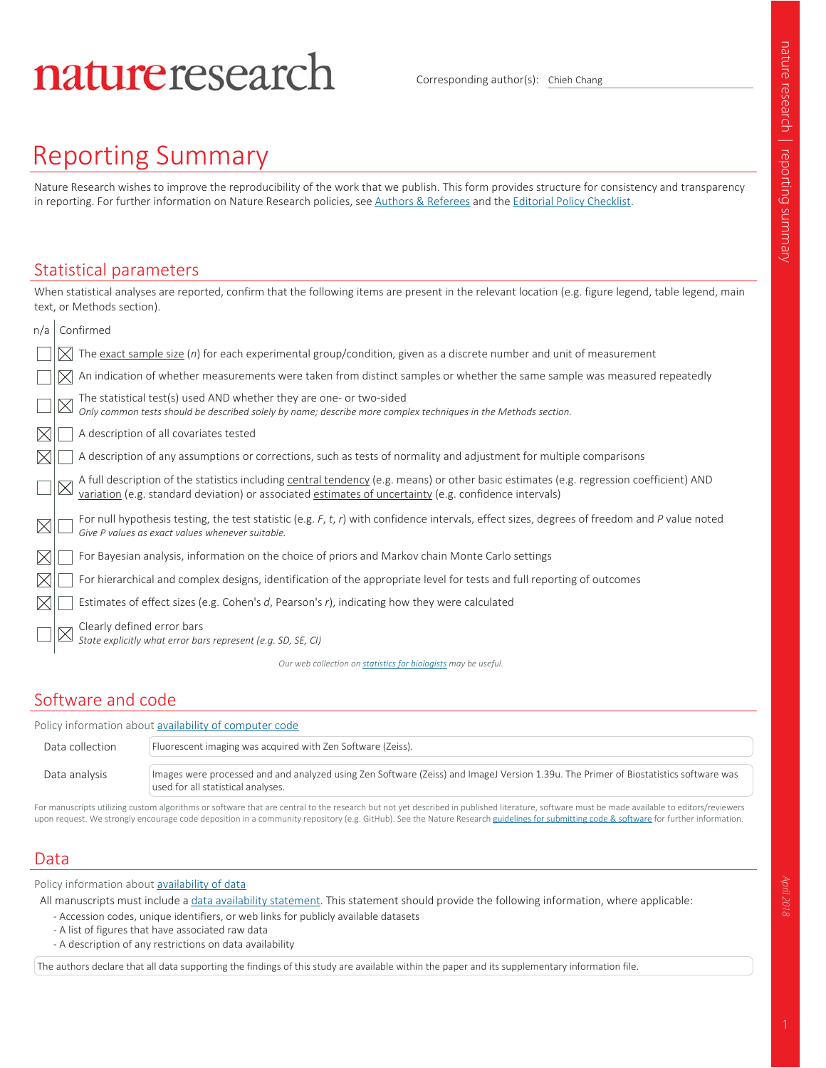# natureresearch

Corresponding author(s): Chieh Chang

## Reporting Summary

Nature Research wishes to improve the reproducibility of the work that we publish. This form provides structure for consistency and transparency in reporting. For further information on Nature Research policies, see Authors & Referees and the Editorial Policy Checklist.

When statistical analyses are reported, confirm that the following items are present in the relevant location (e.g. figure legend, table legend, main

#### Statistical parameters

|     | text, or Methods section). |                                                                                                                                                                                                                                |  |  |  |  |
|-----|----------------------------|--------------------------------------------------------------------------------------------------------------------------------------------------------------------------------------------------------------------------------|--|--|--|--|
| n/a | Confirmed                  |                                                                                                                                                                                                                                |  |  |  |  |
|     |                            | $\times$ The <u>exact sample size</u> (n) for each experimental group/condition, given as a discrete number and unit of measurement                                                                                            |  |  |  |  |
|     |                            | An indication of whether measurements were taken from distinct samples or whether the same sample was measured repeatedly                                                                                                      |  |  |  |  |
|     |                            | The statistical test(s) used AND whether they are one- or two-sided<br>Only common tests should be described solely by name; describe more complex techniques in the Methods section.                                          |  |  |  |  |
|     |                            | A description of all covariates tested                                                                                                                                                                                         |  |  |  |  |
|     |                            | A description of any assumptions or corrections, such as tests of normality and adjustment for multiple comparisons                                                                                                            |  |  |  |  |
|     |                            | A full description of the statistics including central tendency (e.g. means) or other basic estimates (e.g. regression coefficient) AND variation (e.g. standard deviation) or associated estimates of uncertainty (e.g. confi |  |  |  |  |
|     |                            | For null hypothesis testing, the test statistic (e.g. $F$ , $t$ , $r$ ) with confidence intervals, effect sizes, degrees of freedom and P value noted<br>Give P values as exact values whenever suitable.                      |  |  |  |  |
|     |                            | For Bayesian analysis, information on the choice of priors and Markov chain Monte Carlo settings                                                                                                                               |  |  |  |  |
|     |                            | For hierarchical and complex designs, identification of the appropriate level for tests and full reporting of outcomes                                                                                                         |  |  |  |  |
|     |                            | Estimates of effect sizes (e.g. Cohen's d, Pearson's $r$ ), indicating how they were calculated                                                                                                                                |  |  |  |  |
|     |                            | Clearly defined error bars<br>State explicitly what error bars represent (e.g. SD, SE, CI)                                                                                                                                     |  |  |  |  |

*Our web collection on statistics for biologists may be useful.*

### Software and code

Policy information about availability of computer code

| Data collection | Fluorescent imaging was acquired with Zen Software (Zeiss).                                                                                                                |  |  |  |
|-----------------|----------------------------------------------------------------------------------------------------------------------------------------------------------------------------|--|--|--|
| Data analysis   | Images were processed and and analyzed using Zen Software (Zeiss) and ImageJ Version 1.39u. The Primer of Biostatistics software was<br>used for all statistical analyses. |  |  |  |

For manuscripts utilizing custom algorithms or software that are central to the research but not yet described in published literature, software must be made available to editors/reviewers upon request. We strongly encourage code deposition in a community repository (e.g. GitHub). See the Nature Research guidelines for submitting code & software for further information.

#### Data

Policy information about **availability of data** 

All manuscripts must include a data availability statement. This statement should provide the following information, where applicable:

- Accession codes, unique identifiers, or web links for publicly available datasets
- A list of figures that have associated raw data
- A description of any restrictions on data availability

The authors declare that all data supporting the findings of this study are available within the paper and its supplementary information file.